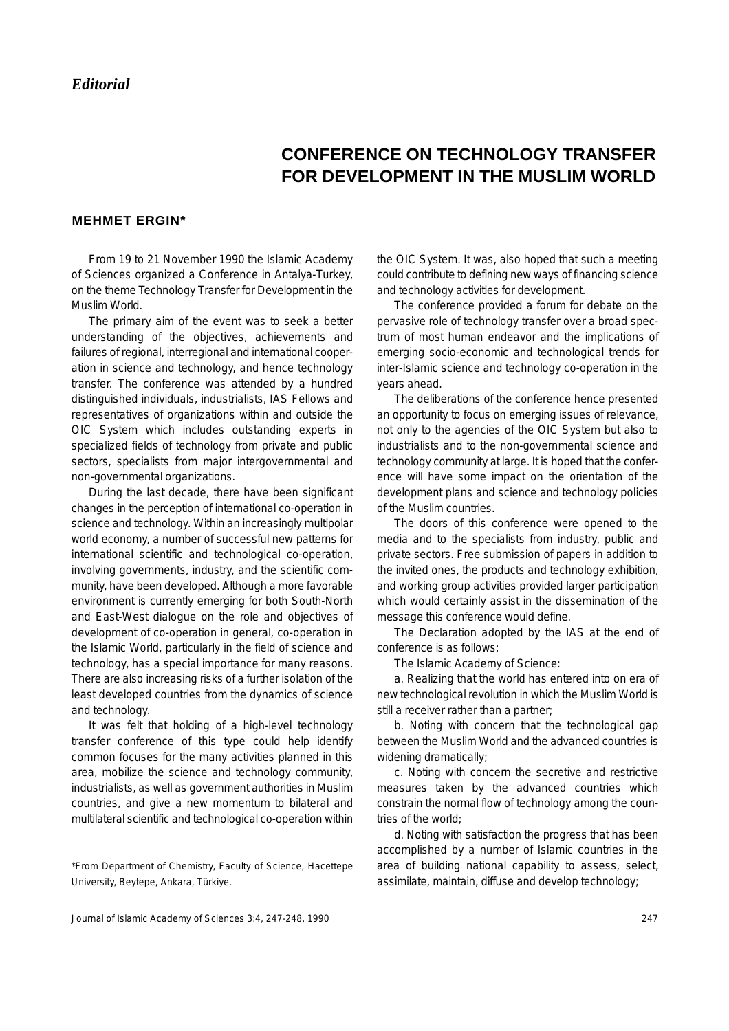## **CONFERENCE ON TECHNOLOGY TRANSFER FOR DEVELOPMENT IN THE MUSLIM WORLD**

## **MEHMET ERGIN\***

From 19 to 21 November 1990 the Islamic Academy of Sciences organized a Conference in Antalya-Turkey, on the theme Technology Transfer for Development in the Muslim World.

The primary aim of the event was to seek a better understanding of the objectives, achievements and failures of regional, interregional and international cooperation in science and technology, and hence technology transfer. The conference was attended by a hundred distinguished individuals, industrialists, IAS Fellows and representatives of organizations within and outside the OIC System which includes outstanding experts in specialized fields of technology from private and public sectors, specialists from major intergovernmental and non-governmental organizations.

During the last decade, there have been significant changes in the perception of international co-operation in science and technology. Within an increasingly multipolar world economy, a number of successful new patterns for international scientific and technological co-operation, involving governments, industry, and the scientific community, have been developed. Although a more favorable environment is currently emerging for both South-North and East-West dialogue on the role and objectives of development of co-operation in general, co-operation in the Islamic World, particularly in the field of science and technology, has a special importance for many reasons. There are also increasing risks of a further isolation of the least developed countries from the dynamics of science and technology.

It was felt that holding of a high-level technology transfer conference of this type could help identify common focuses for the many activities planned in this area, mobilize the science and technology community, industrialists, as well as government authorities in Muslim countries, and give a new momentum to bilateral and multilateral scientific and technological co-operation within the OIC System. It was, also hoped that such a meeting could contribute to defining new ways of financing science and technology activities for development.

The conference provided a forum for debate on the pervasive role of technology transfer over a broad spectrum of most human endeavor and the implications of emerging socio-economic and technological trends for inter-Islamic science and technology co-operation in the years ahead.

The deliberations of the conference hence presented an opportunity to focus on emerging issues of relevance, not only to the agencies of the OIC System but also to industrialists and to the non-governmental science and technology community at large. It is hoped that the conference will have some impact on the orientation of the development plans and science and technology policies of the Muslim countries.

The doors of this conference were opened to the media and to the specialists from industry, public and private sectors. Free submission of papers in addition to the invited ones, the products and technology exhibition, and working group activities provided larger participation which would certainly assist in the dissemination of the message this conference would define.

The Declaration adopted by the IAS at the end of conference is as follows;

The Islamic Academy of Science:

a. Realizing that the world has entered into on era of new technological revolution in which the Muslim World is still a receiver rather than a partner;

b. Noting with concern that the technological gap between the Muslim World and the advanced countries is widening dramatically;

c. Noting with concern the secretive and restrictive measures taken by the advanced countries which constrain the normal flow of technology among the countries of the world;

d. Noting with satisfaction the progress that has been accomplished by a number of Islamic countries in the area of building national capability to assess, select, assimilate, maintain, diffuse and develop technology;

<sup>\*</sup>From Department of Chemistry, Faculty of Science, Hacettepe University, Beytepe, Ankara, Türkiye.